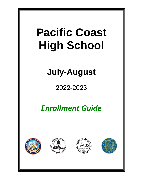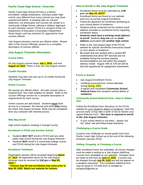## **Pacific Coast High School—Overview**

Pacific Coast High School (PCHS) is a WASC accredited, college preparatory, voluntary public high school; very different from many schools you may have experienced before. In keeping with our [mission](http://www.pchs.k12.ca.us/Enrollment.html#mission)  [statement,](http://www.pchs.k12.ca.us/Enrollment.html#mission) our philosophy and courses are similar to a community college format, utilizing a syllabus approach to each trimester course. PCHS is a recipient of the CA Department of Education's Exemplary Independent Study Award, and has received UC approval for most courses offered.

July-August trimester courses are offered online. Please refer to the *Course Offerings* section for a complete description of courses offered.

## **July-August Trimester Information**

## **Course Dates**

All July-August courses begin July 1, 202**2**, and end August 10, 202**2**. There is only one July-August session.

## **Credits Possible**

Students may take and earn up to 10 credits during the July-August Trimester.

## **Online Courses**

All courses are offered online. All math courses have a required final. See math syllabus for details. Refer to the *Course Offerings* section for a complete description of requirements for each course.

Online courses are web based. Students **must** have access to a computer, the internet and work **daily** during the entire July-August trimester. Work may be completed from any computer with Internet access.

## **Who May Enroll**

High school students residing in Orange County.

## **Enrollment in PCHS and Another School**

- Students **MAY NOT** enroll in PCHS and any other public high school during the July-August trimester.
- Students **MAY** enroll in a community college course and PCHS during the July-August trimester.

#### **Enrollment Timeframe**

Registration packets will be accepted beginning March 2**1**, 202**2**. All registration forms for the July-August trimester must be received by 3:00 pm on **May 20, 2022**.\*\*

\*\***Classes may fill and enrollment may close prior to May 20, 2022. Watch our website for notices.**

## **How to Enroll in the July-August Trimester**

- Enrollment forms must be submitted by *3:00 p.m. on May 20, 2022\*\**
- Enrollment forms are found on our website: pchs.k12.ca.us/July-August Enrollment.
- Follow the directions for enrollment pertaining to your school district of residence.
- Students will be contacted via the student email address provided on enrollment forms regarding enrollment status.
- **Students must have a working email address to enroll**. Students **may not** use an **email address** associated with **another high school.**
- Refer to the *July-August* page of the PCHS website for specific enrollment instructions based on *your district of residence*.
- Be aware that any student with a current IEP understands that direct IEP services are not available during the summer session. Accommodations are met within the program delivery model. August 10th at 3:00 pm will be that last opportunity for assignment submission.

#### **Forms to Submit:**

- July-August Enrollment Forms
- Unofficial transcript from school attended during Spring, 2022.
- A signed and completed **Community School Referral Form** from student's school district of **residence.**

#### **Community School Referral Form—How to Obtain One**

Follow the Enrollment form directions on the PCHS website for *your student's district of residence*. Start this process early, it may take a week or two to receive your signed Referral Form. *This form is required to enroll in the July-August trimester.* 

If your school district is not listed – please use the "other" tab and follow these directions.

#### **Challenging a Course Grade**

A parent may challenge an issued grade mark from Pacific Coast High School up to the end of the following trimester (January 2023).

#### **Adding, Dropping, or Changing a Course**

After enrollment forms are submitted, all course changes must be made in writing on a July-August Add/Drop Course Form (available on our website). Changes must be made on this form by June 1**7**, 202**2**. Courses may be dropped through July **29**, 202**2** and will not appear on a student's transcript. The completed Add/Drop form may be faxed to 714.508.0215 or emailed to: pchsjuly22@ocde.us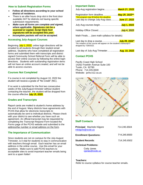## **How to Submit Registration Forms**

- **Follow all directions according to your school district of residence.**
- There is an after hours drop slot in the front door available 24/7 for districts not having specific submission requirements.
- *Make sure all forms are complete and signed, where applicable. Signatures can be a scanned or copied, Script Style font signatures will be accepted this year.*
- *Incomplete packets will not be accepted.*

## **Accessing July-August Courses**

Beginning July 1, 2022, online login directions will be emailed to all students through their student email address. Students who have completed all registration forms and submitted them with transcripts and district signed Community School Referral Form will be able to access their online courses by following the online login directions. *Students with outstanding registration items will not have an online account created, and will not be able to access courses.*

## **Courses Not Completed**

If a course is not completed by August 10, 2022 the student will receive a grade of "No Credit" (NC).

If no work is submitted for the first two consecutive weeks of the July/August trimester without student contacting the teacher, the student will be dropped from the course effective July 1**5**, 202**2**.

## **Grades and Transcripts**

Report cards are mailed to student's home address by the end of August. Many districts have agreements with PCHS that allow for electronic transcripts to automatically be sent to individual districts. Please check with your district to see whether you have such an agreement. An official transcript may be requested by completing the *Transcript Request Form* located the *Forms* page of the PCHS website and submitted to the address/fax number or email address on the form.

## **The Importance of Communication**

Since students are not on campus for the July-August Trimester, is it vital for students to stay in communication with teachers through email. Each teacher has an email address in the online course. Use this email for your questions. Make sure to add PCHS teachers to acceptable sites to avoid important teacher emails being sent to a spam folder!

## **Important Dates**

| July-Aug registration begins March 21, 2022                                                                                                             |  |
|---------------------------------------------------------------------------------------------------------------------------------------------------------|--|
| Registration form deadline May 20, 2022 <sup>**</sup><br>**the program may fill before this deadline.<br>Last day to change July-Aug classJune 17, 2022 |  |
| July-Aug courses beginJuly 1, 2022                                                                                                                      |  |
|                                                                                                                                                         |  |
| Math Finals (see math syllabus for details)                                                                                                             |  |

Last day to drop a course…………...….…..July **29**, 202**2**\* \*No notation of the course will appear on the student's transcript if dropped by 7/29/2022.

Last day of July-Aug Trimester……........... Aug. 10, 202**2**

## **Contact PCHS**

Pacific Coast High School 14262 Franklin Avenue Suite 100 Tustin, CA 92780 Phone: 714.245.6500 Website: pchs.k12.ca.us



## **Staff Contacts**

| <b>Principal: Machele Kilgore</b><br>mkilgore@ocde.us | 714 245 6504 |
|-------------------------------------------------------|--------------|
| <b>Enrollment Questions:</b>                          | 714.245.6500 |
| <b>Student Records:</b>                               | 714.245.6502 |
| <b>Technical Problems:</b>                            |              |

Cody Jones cjones@ocde.us

#### **Teachers:**

Refer to course syllabus for course teacher emails.